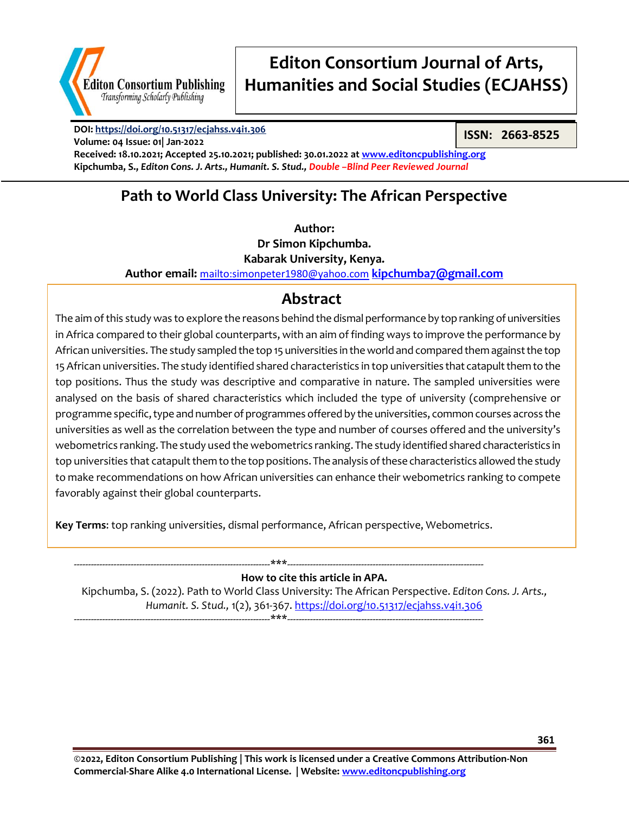

**Volume: 04 Issue: 01| Jan-2022**

# **Editon Consortium Journal of Arts, Humanities and Social Studies (ECJAHSS)**

**DOI:<https://doi.org/10.51317/ecjahss.v4i1.306>**

**ISSN: 2663-8525**

**Received: 18.10.2021; Accepted 25.10.2021; published: 30.01.2022 a[t www.editoncpublishing.org](http://www.editoncpublishing.org/) Kipchumba, S.,** *Editon Cons. J. Arts., Humanit. S. Stud., Double –Blind Peer Reviewed Journal*

### **Path to World Class University: The African Perspective**

**Author:**

**Dr Simon Kipchumba. Kabarak University, Kenya.**

**Author email:** <mailto:simonpeter1980@yahoo.com> **[kipchumba7@gmail.com](mailto:kipchumba7@gmail.com)**

### **Abstract**

The aim of this study was to explore the reasons behind the dismal performance by top ranking of universities in Africa compared to their global counterparts, with an aim of finding ways to improve the performance by African universities. The study sampled the top 15 universities in the world and compared them against the top 15 African universities. The study identified shared characteristics in top universities that catapult them to the top positions. Thus the study was descriptive and comparative in nature. The sampled universities were analysed on the basis of shared characteristics which included the type of university (comprehensive or programme specific, type and number of programmes offered by the universities, common courses across the universities as well as the correlation between the type and number of courses offered and the university's webometrics ranking. The study used the webometrics ranking. The study identified shared characteristics in top universities that catapult them to the top positions. The analysis of these characteristics allowed the study to make recommendations on how African universities can enhance their webometrics ranking to compete favorably against their global counterparts.

**Key Terms**: top ranking universities, dismal performance, African perspective, Webometrics.

---------------------------------------------------------------------\*\*\*--------------------------------------------------------------------- **How to cite this article in APA.** Kipchumba, S. (2022). Path to World Class University: The African Perspective. *Editon Cons. J. Arts., Humanit. S. Stud.,* 1(2), 361-367. <https://doi.org/10.51317/ecjahss.v4i1.306> ---------------------------------------------------------------------\*\*\*---------------------------------------------------------------------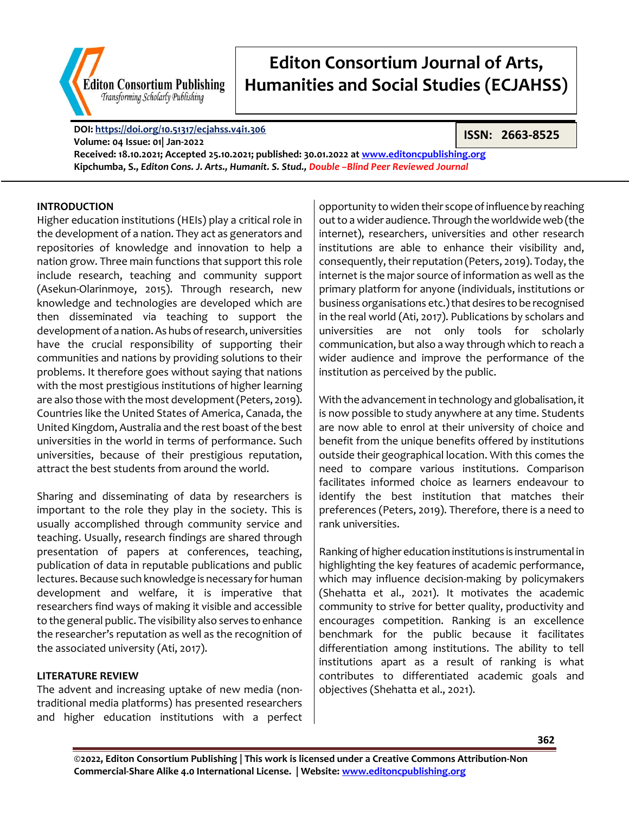

**DOI:<https://doi.org/10.51317/ecjahss.v4i1.306> Volume: 04 Issue: 01| Jan-2022 Received: 18.10.2021; Accepted 25.10.2021; published: 30.01.2022 a[t www.editoncpublishing.org](http://www.editoncpublishing.org/) Kipchumba, S.,** *Editon Cons. J. Arts., Humanit. S. Stud., Double –Blind Peer Reviewed Journal*

#### **INTRODUCTION**

Higher education institutions (HEIs) play a critical role in the development of a nation. They act as generators and repositories of knowledge and innovation to help a nation grow. Three main functions that support this role include research, teaching and community support (Asekun-Olarinmoye, 2015). Through research, new knowledge and technologies are developed which are then disseminated via teaching to support the development of a nation. As hubs of research, universities have the crucial responsibility of supporting their communities and nations by providing solutions to their problems. It therefore goes without saying that nations with the most prestigious institutions of higher learning are also those with the most development (Peters, 2019). Countries like the United States of America, Canada, the United Kingdom, Australia and the rest boast of the best universities in the world in terms of performance. Such universities, because of their prestigious reputation, attract the best students from around the world.

Sharing and disseminating of data by researchers is important to the role they play in the society. This is usually accomplished through community service and teaching. Usually, research findings are shared through presentation of papers at conferences, teaching, publication of data in reputable publications and public lectures. Because such knowledge is necessary for human development and welfare, it is imperative that researchers find ways of making it visible and accessible to the general public. The visibility also serves to enhance the researcher's reputation as well as the recognition of the associated university (Ati, 2017).

#### **LITERATURE REVIEW**

The advent and increasing uptake of new media (nontraditional media platforms) has presented researchers and higher education institutions with a perfect opportunity to widen their scope of influence by reaching out to a wider audience. Through the worldwide web (the internet), researchers, universities and other research institutions are able to enhance their visibility and, consequently, their reputation (Peters, 2019). Today, the internet is the major source of information as well as the primary platform for anyone (individuals, institutions or business organisations etc.) that desires to be recognised in the real world (Ati, 2017). Publications by scholars and universities are not only tools for scholarly communication, but also a way through which to reach a wider audience and improve the performance of the institution as perceived by the public.

**ISSN: 2663-8525**

With the advancement in technology and globalisation, it is now possible to study anywhere at any time. Students are now able to enrol at their university of choice and benefit from the unique benefits offered by institutions outside their geographical location. With this comes the need to compare various institutions. Comparison facilitates informed choice as learners endeavour to identify the best institution that matches their preferences (Peters, 2019). Therefore, there is a need to rank universities.

Ranking of higher education institutions is instrumental in highlighting the key features of academic performance, which may influence decision-making by policymakers (Shehatta et al., 2021). It motivates the academic community to strive for better quality, productivity and encourages competition. Ranking is an excellence benchmark for the public because it facilitates differentiation among institutions. The ability to tell institutions apart as a result of ranking is what contributes to differentiated academic goals and objectives (Shehatta et al., 2021).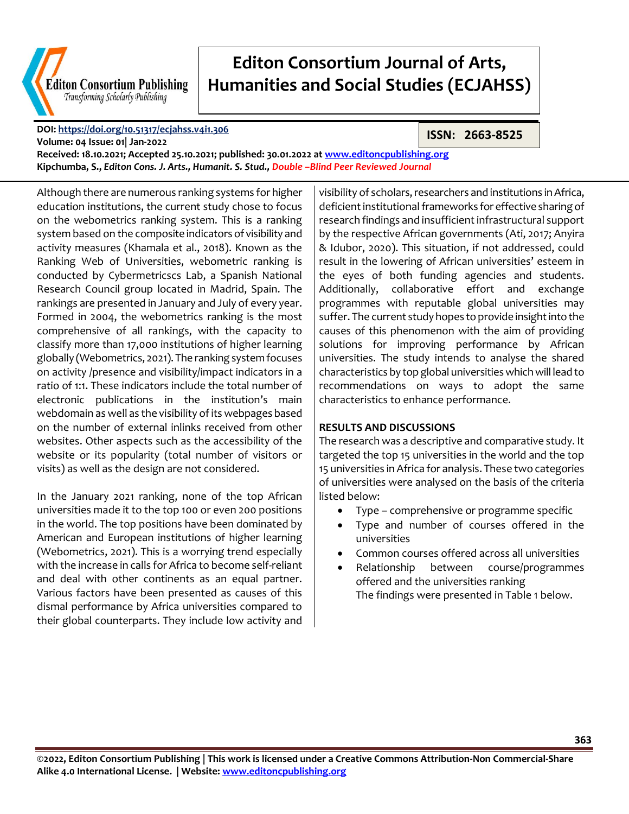

**DOI:<https://doi.org/10.51317/ecjahss.v4i1.306>**

**ISSN: 2663-8525**

**Volume: 04 Issue: 01| Jan-2022 Received: 18.10.2021; Accepted 25.10.2021; published: 30.01.2022 a[t www.editoncpublishing.org](http://www.editoncpublishing.org/) Kipchumba, S.,** *Editon Cons. J. Arts., Humanit. S. Stud., Double –Blind Peer Reviewed Journal*

Although there are numerous ranking systems for higher education institutions, the current study chose to focus on the webometrics ranking system. This is a ranking system based on the composite indicators of visibility and activity measures (Khamala et al., 2018). Known as the Ranking Web of Universities, webometric ranking is conducted by Cybermetricscs Lab, a Spanish National Research Council group located in Madrid, Spain. The rankings are presented in January and July of every year. Formed in 2004, the webometrics ranking is the most comprehensive of all rankings, with the capacity to classify more than 17,000 institutions of higher learning globally (Webometrics, 2021). The ranking system focuses on activity /presence and visibility/impact indicators in a ratio of 1:1. These indicators include the total number of electronic publications in the institution's main webdomain as well as the visibility of its webpages based on the number of external inlinks received from other websites. Other aspects such as the accessibility of the website or its popularity (total number of visitors or visits) as well as the design are not considered.

In the January 2021 ranking, none of the top African universities made it to the top 100 or even 200 positions in the world. The top positions have been dominated by American and European institutions of higher learning (Webometrics, 2021). This is a worrying trend especially with the increase in calls for Africa to become self-reliant and deal with other continents as an equal partner. Various factors have been presented as causes of this dismal performance by Africa universities compared to their global counterparts. They include low activity and visibility of scholars, researchers and institutions in Africa, deficient institutional frameworks for effective sharing of research findings and insufficient infrastructural support by the respective African governments (Ati, 2017; Anyira & Idubor, 2020). This situation, if not addressed, could result in the lowering of African universities' esteem in the eyes of both funding agencies and students. Additionally, collaborative effort and exchange programmes with reputable global universities may suffer. The current study hopes to provide insight into the causes of this phenomenon with the aim of providing solutions for improving performance by African universities. The study intends to analyse the shared characteristics by top global universities which will lead to recommendations on ways to adopt the same characteristics to enhance performance.

#### **RESULTS AND DISCUSSIONS**

The research was a descriptive and comparative study. It targeted the top 15 universities in the world and the top 15 universities in Africa for analysis. These two categories of universities were analysed on the basis of the criteria listed below:

- Type comprehensive or programme specific
- Type and number of courses offered in the universities
- Common courses offered across all universities
- Relationship between course/programmes offered and the universities ranking The findings were presented in Table 1 below.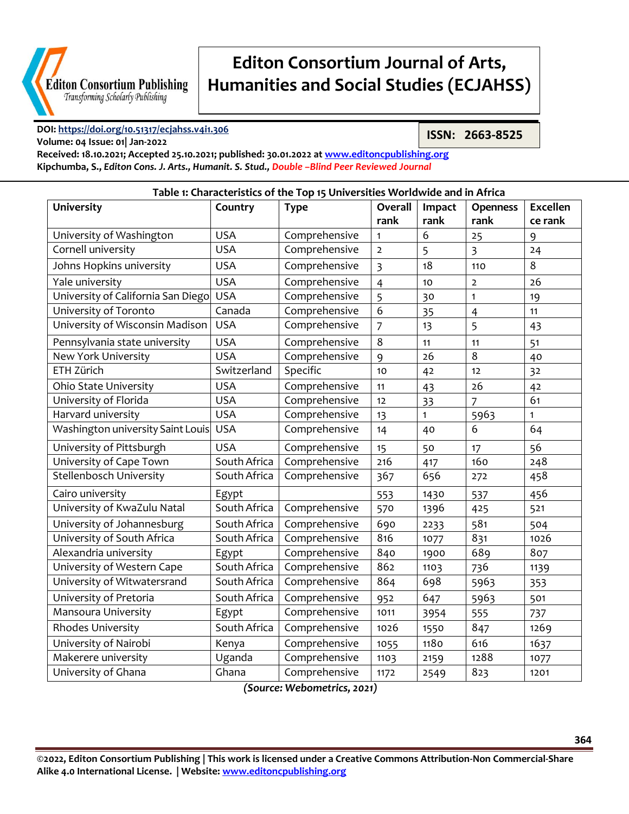

**Volume: 04 Issue: 01| Jan-2022**

# **Editon Consortium Journal of Arts, Humanities and Social Studies (ECJAHSS)**

#### **DOI:<https://doi.org/10.51317/ecjahss.v4i1.306>**

**ISSN: 2663-8525**

**Received: 18.10.2021; Accepted 25.10.2021; published: 30.01.2022 a[t www.editoncpublishing.org](http://www.editoncpublishing.org/) Kipchumba, S.,** *Editon Cons. J. Arts., Humanit. S. Stud., Double –Blind Peer Reviewed Journal*

| Table 1: Characteristics of the Top 15 Universities Worldwide and in Africa |              |               |                |              |                 |                 |
|-----------------------------------------------------------------------------|--------------|---------------|----------------|--------------|-----------------|-----------------|
| <b>University</b>                                                           | Country      | <b>Type</b>   | <b>Overall</b> | Impact       | <b>Openness</b> | <b>Excellen</b> |
|                                                                             |              |               | rank           | rank         | rank            | ce rank         |
| University of Washington                                                    | <b>USA</b>   | Comprehensive | 1              | 6            | 25              | 9               |
| Cornell university                                                          | <b>USA</b>   | Comprehensive | $\overline{2}$ | 5            | $\overline{3}$  | 24              |
| Johns Hopkins university                                                    | <b>USA</b>   | Comprehensive | $\overline{3}$ | 18           | 110             | 8               |
| Yale university                                                             | <b>USA</b>   | Comprehensive | $\overline{4}$ | 10           | $\overline{2}$  | 26              |
| University of California San Diego                                          | <b>USA</b>   | Comprehensive | 5              | 30           | $\mathbf{1}$    | 19              |
| University of Toronto                                                       | Canada       | Comprehensive | 6              | 35           | $\overline{4}$  | 11              |
| University of Wisconsin Madison                                             | <b>USA</b>   | Comprehensive | $\overline{7}$ | 13           | 5               | 43              |
| Pennsylvania state university                                               | <b>USA</b>   | Comprehensive | 8              | 11           | 11              | 51              |
| New York University                                                         | <b>USA</b>   | Comprehensive | 9              | 26           | 8               | 40              |
| ETH Zürich                                                                  | Switzerland  | Specific      | 10             | 42           | 12              | 32              |
| Ohio State University                                                       | <b>USA</b>   | Comprehensive | 11             | 43           | 26              | 42              |
| University of Florida                                                       | <b>USA</b>   | Comprehensive | 12             | 33           | 7               | 61              |
| Harvard university                                                          | <b>USA</b>   | Comprehensive | 13             | $\mathbf{1}$ | 5963            | $\mathbf{1}$    |
| Washington university Saint Louis                                           | <b>USA</b>   | Comprehensive | 14             | 40           | 6               | 64              |
| University of Pittsburgh                                                    | <b>USA</b>   | Comprehensive | 15             | 50           | 17              | 56              |
| University of Cape Town                                                     | South Africa | Comprehensive | 216            | 417          | 160             | 248             |
| Stellenbosch University                                                     | South Africa | Comprehensive | 367            | 656          | 272             | 458             |
| Cairo university                                                            | Egypt        |               | 553            | 1430         | 537             | 456             |
| University of KwaZulu Natal                                                 | South Africa | Comprehensive | 570            | 1396         | 425             | 521             |
| University of Johannesburg                                                  | South Africa | Comprehensive | 690            | 2233         | 581             | 504             |
| University of South Africa                                                  | South Africa | Comprehensive | 816            | 1077         | 831             | 1026            |
| Alexandria university                                                       | Egypt        | Comprehensive | 840            | 1900         | 689             | 807             |
| University of Western Cape                                                  | South Africa | Comprehensive | 862            | 1103         | 736             | 1139            |
| University of Witwatersrand                                                 | South Africa | Comprehensive | 864            | 698          | 5963            | 353             |
| University of Pretoria                                                      | South Africa | Comprehensive | 952            | 647          | 5963            | 501             |
| Mansoura University                                                         | Egypt        | Comprehensive | 1011           | 3954         | 555             | 737             |
| Rhodes University                                                           | South Africa | Comprehensive | 1026           | 1550         | 847             | 1269            |
| University of Nairobi                                                       | Kenya        | Comprehensive | 1055           | 1180         | 616             | 1637            |
| Makerere university                                                         | Uganda       | Comprehensive | 1103           | 2159         | 1288            | 1077            |
| University of Ghana                                                         | Ghana        | Comprehensive | 1172           | 2549         | 823             | 1201            |

*(Source: Webometrics, 2021)*

**©2022, Editon Consortium Publishing | This work is licensed under a Creative Commons Attribution-Non Commercial-Share Alike 4.0 International License. | Website[: www.editoncpublishing.org](http://www.editoncpublishing.org/)**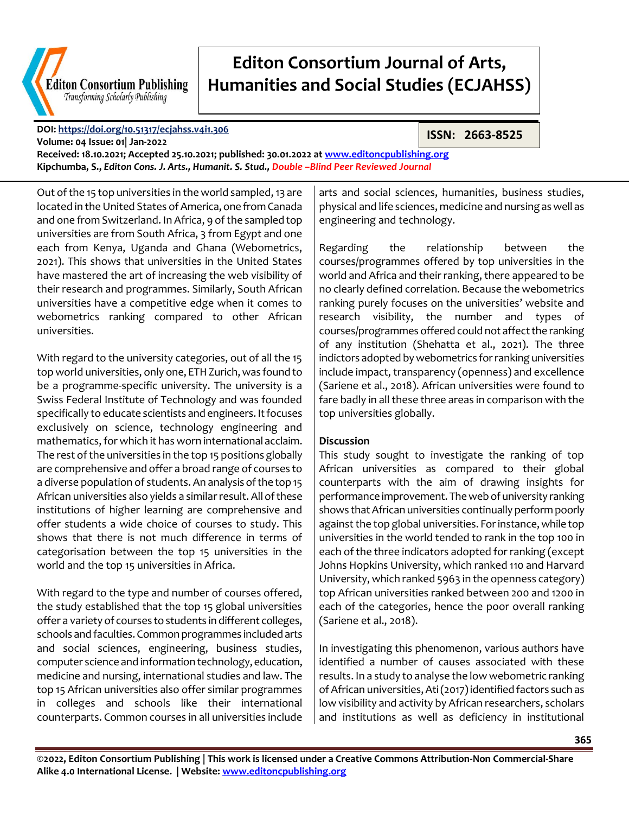

#### **DOI:<https://doi.org/10.51317/ecjahss.v4i1.306>**

**ISSN: 2663-8525**

**Volume: 04 Issue: 01| Jan-2022 Received: 18.10.2021; Accepted 25.10.2021; published: 30.01.2022 a[t www.editoncpublishing.org](http://www.editoncpublishing.org/) Kipchumba, S.,** *Editon Cons. J. Arts., Humanit. S. Stud., Double –Blind Peer Reviewed Journal*

Out of the 15 top universities in the world sampled, 13 are located in the United States of America, one from Canada and one from Switzerland. In Africa, 9 of the sampled top universities are from South Africa, 3 from Egypt and one each from Kenya, Uganda and Ghana (Webometrics, 2021). This shows that universities in the United States have mastered the art of increasing the web visibility of their research and programmes. Similarly, South African universities have a competitive edge when it comes to webometrics ranking compared to other African universities.

With regard to the university categories, out of all the 15 top world universities, only one, ETH Zurich, was found to be a programme-specific university. The university is a Swiss Federal Institute of Technology and was founded specifically to educate scientists and engineers. It focuses exclusively on science, technology engineering and mathematics, for which it has worn international acclaim. The rest of the universities in the top 15 positions globally are comprehensive and offer a broad range of courses to a diverse population of students. An analysis of the top 15 African universities also yields a similar result. All of these institutions of higher learning are comprehensive and offer students a wide choice of courses to study. This shows that there is not much difference in terms of categorisation between the top 15 universities in the world and the top 15 universities in Africa.

With regard to the type and number of courses offered, the study established that the top 15 global universities offer a variety of courses to students in different colleges, schools and faculties. Common programmes included arts and social sciences, engineering, business studies, computer science and information technology, education, medicine and nursing, international studies and law. The top 15 African universities also offer similar programmes in colleges and schools like their international counterparts. Common courses in all universities include

arts and social sciences, humanities, business studies, physical and life sciences, medicine and nursing as well as engineering and technology.

Regarding the relationship between the courses/programmes offered by top universities in the world and Africa and their ranking, there appeared to be no clearly defined correlation. Because the webometrics ranking purely focuses on the universities' website and research visibility, the number and types of courses/programmes offered could not affect the ranking of any institution (Shehatta et al., 2021). The three indictors adopted by webometrics for ranking universities include impact, transparency (openness) and excellence (Sariene et al., 2018). African universities were found to fare badly in all these three areas in comparison with the top universities globally.

#### **Discussion**

This study sought to investigate the ranking of top African universities as compared to their global counterparts with the aim of drawing insights for performance improvement. The web of university ranking shows that African universities continually perform poorly against the top global universities. For instance, while top universities in the world tended to rank in the top 100 in each of the three indicators adopted for ranking (except Johns Hopkins University, which ranked 110 and Harvard University, which ranked 5963 in the openness category) top African universities ranked between 200 and 1200 in each of the categories, hence the poor overall ranking (Sariene et al., 2018).

In investigating this phenomenon, various authors have identified a number of causes associated with these results. In a study to analyse the low webometric ranking of African universities, Ati (2017) identified factors such as low visibility and activity by African researchers, scholars and institutions as well as deficiency in institutional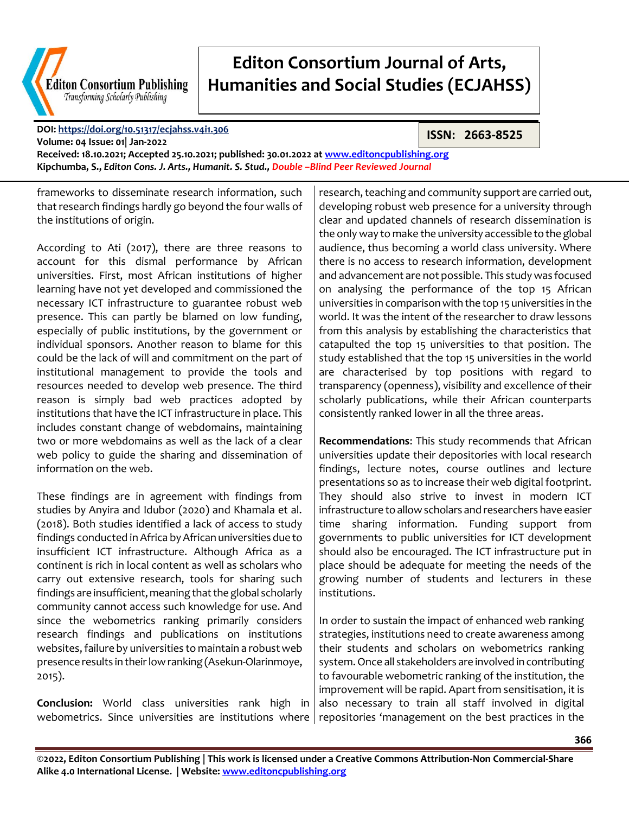

**DOI:<https://doi.org/10.51317/ecjahss.v4i1.306>**

**ISSN: 2663-8525**

**Volume: 04 Issue: 01| Jan-2022 Received: 18.10.2021; Accepted 25.10.2021; published: 30.01.2022 a[t www.editoncpublishing.org](http://www.editoncpublishing.org/) Kipchumba, S.,** *Editon Cons. J. Arts., Humanit. S. Stud., Double –Blind Peer Reviewed Journal*

frameworks to disseminate research information, such that research findings hardly go beyond the four walls of the institutions of origin.

According to Ati (2017), there are three reasons to account for this dismal performance by African universities. First, most African institutions of higher learning have not yet developed and commissioned the necessary ICT infrastructure to guarantee robust web presence. This can partly be blamed on low funding, especially of public institutions, by the government or individual sponsors. Another reason to blame for this could be the lack of will and commitment on the part of institutional management to provide the tools and resources needed to develop web presence. The third reason is simply bad web practices adopted by institutions that have the ICT infrastructure in place. This includes constant change of webdomains, maintaining two or more webdomains as well as the lack of a clear web policy to guide the sharing and dissemination of information on the web.

These findings are in agreement with findings from studies by Anyira and Idubor (2020) and Khamala et al. (2018). Both studies identified a lack of access to study findings conducted in Africa by African universities due to insufficient ICT infrastructure. Although Africa as a continent is rich in local content as well as scholars who carry out extensive research, tools for sharing such findings are insufficient, meaning that the global scholarly community cannot access such knowledge for use. And since the webometrics ranking primarily considers research findings and publications on institutions websites, failure by universities to maintain a robust web presence results in their low ranking (Asekun-Olarinmoye, 2015).

**Conclusion:** World class universities rank high in webometrics. Since universities are institutions where

research, teaching and community support are carried out, developing robust web presence for a university through clear and updated channels of research dissemination is the only way to make the university accessible to the global audience, thus becoming a world class university. Where there is no access to research information, development and advancement are not possible. This study was focused on analysing the performance of the top 15 African universities in comparison with the top 15 universities in the world. It was the intent of the researcher to draw lessons from this analysis by establishing the characteristics that catapulted the top 15 universities to that position. The study established that the top 15 universities in the world are characterised by top positions with regard to transparency (openness), visibility and excellence of their scholarly publications, while their African counterparts consistently ranked lower in all the three areas.

**Recommendations**: This study recommends that African universities update their depositories with local research findings, lecture notes, course outlines and lecture presentations so as to increase their web digital footprint. They should also strive to invest in modern ICT infrastructure to allow scholars and researchers have easier time sharing information. Funding support from governments to public universities for ICT development should also be encouraged. The ICT infrastructure put in place should be adequate for meeting the needs of the growing number of students and lecturers in these institutions.

In order to sustain the impact of enhanced web ranking strategies, institutions need to create awareness among their students and scholars on webometrics ranking system. Once all stakeholders are involved in contributing to favourable webometric ranking of the institution, the improvement will be rapid. Apart from sensitisation, it is also necessary to train all staff involved in digital repositories 'management on the best practices in the

**366**